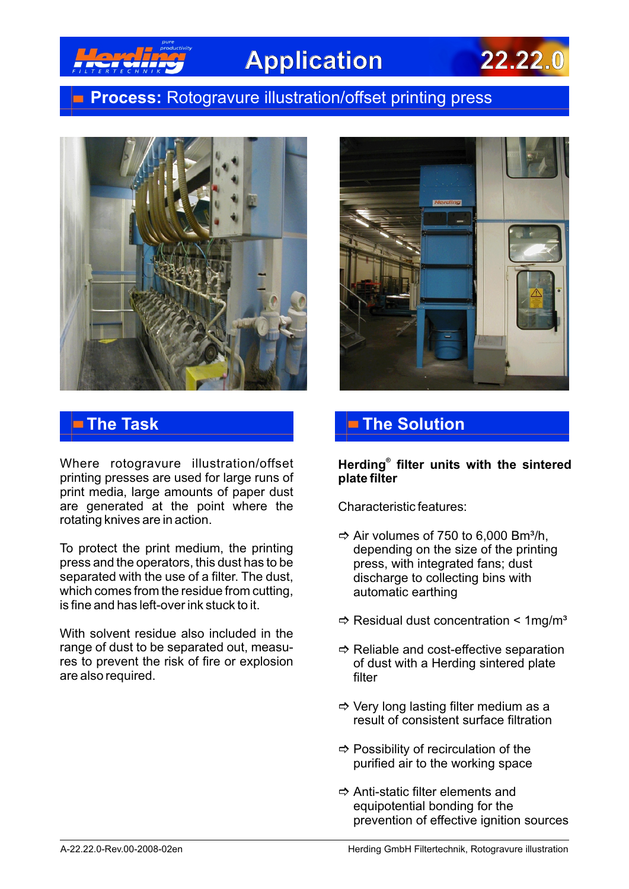

# **Application 22.22.0**

### **Process:** Rotogravure illustration/offset printing press



Where rotogravure illustration/offset printing presses are used for large runs of print media, large amounts of paper dust are generated at the point where the rotating knives are in action.

To protect the print medium, the printing press and the operators, this dust has to be separated with the use of a filter. The dust, which comes from the residue from cutting, is fine and has left-over ink stuck to it.

With solvent residue also included in the range of dust to be separated out, measures to prevent the risk of fire or explosion are also required.



## **The Task The Solution**

**® Herding filter units with the sintered plate filter** 

Characteristic features:

- $\Rightarrow$  Air volumes of 750 to 6,000 Bm<sup>3</sup>/h, depending on the size of the printing press, with integrated fans; dust discharge to collecting bins with automatic earthing
- $\Rightarrow$  Residual dust concentration < 1mg/m<sup>3</sup>
- $\Rightarrow$  Reliable and cost-effective separation of dust with a Herding sintered plate filter
- $\Rightarrow$  Very long lasting filter medium as a result of consistent surface filtration
- $\Rightarrow$  Possibility of recirculation of the purified air to the working space
- $\Rightarrow$  Anti-static filter elements and equipotential bonding for the prevention of effective ignition sources